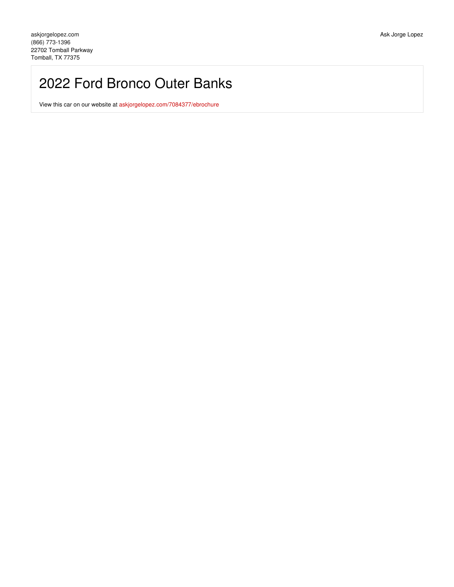## 2022 Ford Bronco Outer Banks

View this car on our website at [askjorgelopez.com/7084377/ebrochure](https://askjorgelopez.com/vehicle/7084377/2022-ford-bronco-outer-banks-tomball-tx-77375/7084377/ebrochure)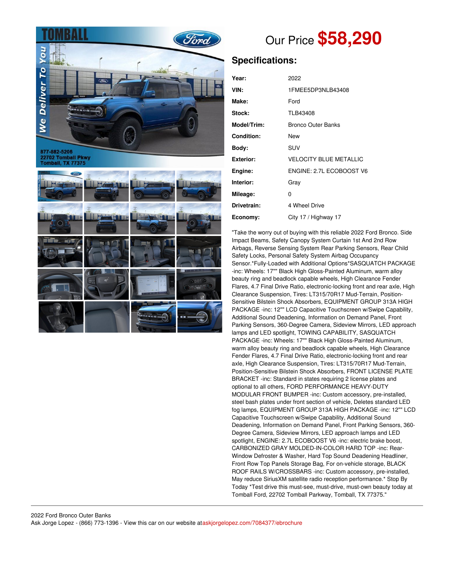

22702 Tomball Pkwy<br>Tomball, TX 77375



# Our Price **\$58,290**

## **Specifications:**

| Year:            | 2022                          |
|------------------|-------------------------------|
|                  |                               |
| VIN:             | 1FMEE5DP3NLB43408             |
| Make:            | Ford                          |
| Stock:           | TLB43408                      |
| Model/Trim:      | <b>Bronco Outer Banks</b>     |
| Condition:       | New                           |
| Body:            | SUV                           |
| <b>Exterior:</b> | <b>VELOCITY BLUE METALLIC</b> |
| Engine:          | ENGINE: 2.7L ECOBOOST V6      |
| Interior:        | Gray                          |
| Mileage:         | 0                             |
| Drivetrain:      | 4 Wheel Drive                 |
| Economy:         | City 17 / Highway 17          |

"Take the worry out of buying with this reliable 2022 Ford Bronco. Side Impact Beams, Safety Canopy System Curtain 1st And 2nd Row Airbags, Reverse Sensing System Rear Parking Sensors, Rear Child Safety Locks, Personal Safety System Airbag Occupancy Sensor.\*Fully-Loaded with Additional Options\*SASQUATCH PACKAGE -inc: Wheels: 17"" Black High Gloss-Painted Aluminum, warm alloy beauty ring and beadlock capable wheels, High Clearance Fender Flares, 4.7 Final Drive Ratio, electronic-locking front and rear axle, High Clearance Suspension, Tires: LT315/70R17 Mud-Terrain, Position-Sensitive Bilstein Shock Absorbers, EQUIPMENT GROUP 313A HIGH PACKAGE -inc: 12"" LCD Capacitive Touchscreen w/Swipe Capability, Additional Sound Deadening, Information on Demand Panel, Front Parking Sensors, 360-Degree Camera, Sideview Mirrors, LED approach lamps and LED spotlight, TOWING CAPABILITY, SASQUATCH PACKAGE -inc: Wheels: 17"" Black High Gloss-Painted Aluminum, warm alloy beauty ring and beadlock capable wheels, High Clearance Fender Flares, 4.7 Final Drive Ratio, electronic-locking front and rear axle, High Clearance Suspension, Tires: LT315/70R17 Mud-Terrain, Position-Sensitive Bilstein Shock Absorbers, FRONT LICENSE PLATE BRACKET -inc: Standard in states requiring 2 license plates and optional to all others, FORD PERFORMANCE HEAVY-DUTY MODULAR FRONT BUMPER -inc: Custom accessory, pre-installed, steel bash plates under front section of vehicle, Deletes standard LED fog lamps, EQUIPMENT GROUP 313A HIGH PACKAGE -inc: 12"" LCD Capacitive Touchscreen w/Swipe Capability, Additional Sound Deadening, Information on Demand Panel, Front Parking Sensors, 360- Degree Camera, Sideview Mirrors, LED approach lamps and LED spotlight, ENGINE: 2.7L ECOBOOST V6 -inc: electric brake boost, CARBONIZED GRAY MOLDED-IN-COLOR HARD TOP -inc: Rear-Window Defroster & Washer, Hard Top Sound Deadening Headliner, Front Row Top Panels Storage Bag, For on-vehicle storage, BLACK ROOF RAILS W/CROSSBARS -inc: Custom accessory, pre-installed, May reduce SiriusXM satellite radio reception performance.\* Stop By Today \*Test drive this must-see, must-drive, must-own beauty today at Tomball Ford, 22702 Tomball Parkway, Tomball, TX 77375."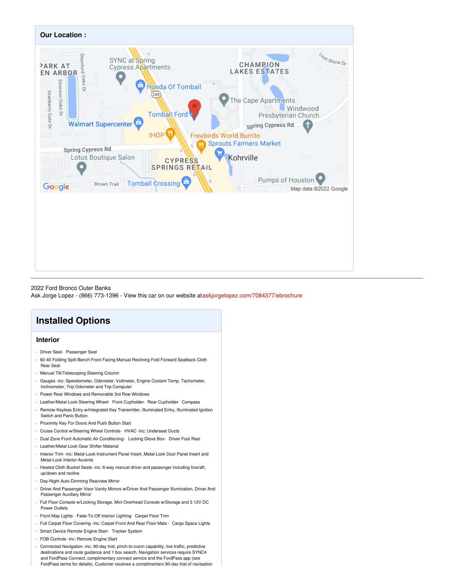

#### 2022 Ford Bronco Outer Banks

Ask Jorge Lopez - (866) 773-1396 - View this car on our website at[askjorgelopez.com/7084377/ebrochure](https://askjorgelopez.com/vehicle/7084377/2022-ford-bronco-outer-banks-tomball-tx-77375/7084377/ebrochure)

## **Installed Options**

## **Interior**

- Driver Seat- Passenger Seat
- 60-40 Folding Split-Bench Front Facing Manual Reclining Fold Forward Seatback Cloth Rear Seat
- Manual Tilt/Telescoping Steering Column
- Gauges -inc: Speedometer, Odometer, Voltmeter, Engine Coolant Temp, Tachometer, Inclinometer, Trip Odometer and Trip Computer
- Power Rear Windows and Removable 3rd Row Windows
- Leather/Metal-Look Steering Wheel- Front Cupholder- Rear Cupholder- Compass
- Remote Keyless Entry w/Integrated Key Transmitter, Illuminated Entry, Illuminated Ignition Switch and Panic Button
- Proximity Key For Doors And Push Button Start
- Cruise Control w/Steering Wheel Controls- HVAC -inc: Underseat Ducts
- Dual Zone Front Automatic Air Conditioning- Locking Glove Box- Driver Foot Rest
- Leather/Metal-Look Gear Shifter Material
- Interior Trim -inc: Metal-Look Instrument Panel Insert, Metal-Look Door Panel Insert and Metal-Look Interior Accents
- Heated Cloth Bucket Seats -inc: 6-way manual driver and passenger including fore/aft, up/down and recline
- Day-Night Auto-Dimming Rearview Mirror
- Driver And Passenger Visor Vanity Mirrors w/Driver And Passenger Illumination, Driver And Passenger Auxiliary Mirror
- Full Floor Console w/Locking Storage, Mini Overhead Console w/Storage and 3 12V DC Power Outlets
- Front Map Lights- Fade-To-Off Interior Lighting- Carpet Floor Trim
- Full Carpet Floor Covering -inc: Carpet Front And Rear Floor Mats Cargo Space Lights
- Smart Device Remote Engine Start- Tracker System
- FOB Controls -inc: Remote Engine Start
- Connected Navigation -inc: 90-day trial, pinch-to-zoom capability, live traffic, predictive destinations and route guidance and 1 box search, Navigation services require SYNC4 and FordPass Connect, complimentary connect service and the FordPass app (see FordPass terms for details), Customer receives a complimentary 90-day trial of navigation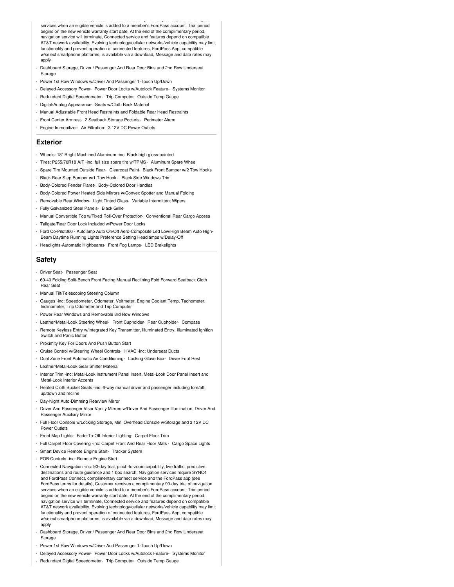FordPass terms for details), Customer receives a complimentary 90-day trial of navigation services when an eligible vehicle is added to a member's FordPass account, Trial period begins on the new vehicle warranty start date, At the end of the complimentary period, navigation service will terminate, Connected service and features depend on compatible AT&T network availability, Evolving technology/cellular networks/vehicle capability may limit functionality and prevent operation of connected features, FordPass App, compatible w/select smartphone platforms, is available via a download, Message and data rates may apply

- Dashboard Storage, Driver / Passenger And Rear Door Bins and 2nd Row Underseat Storage
- Power 1st Row Windows w/Driver And Passenger 1-Touch Up/Down
- Delayed Accessory Power- Power Door Locks w/Autolock Feature- Systems Monitor
- Redundant Digital Speedometer- Trip Computer- Outside Temp Gauge
- Digital/Analog Appearance- Seats w/Cloth Back Material
- Manual Adjustable Front Head Restraints and Foldable Rear Head Restraints
- Front Center Armrest- 2 Seatback Storage Pockets- Perimeter Alarm
- Engine Immobilizer- Air Filtration- 3 12V DC Power Outlets

### **Exterior**

- Wheels: 18" Bright Machined Aluminum -inc: Black high gloss-painted
- Tires: P255/70R18 A/T -inc: full size spare tire w/TPMS- Aluminum Spare Wheel
- Spare Tire Mounted Outside Rear- Clearcoat Paint- Black Front Bumper w/2 Tow Hooks
- Black Rear Step Bumper w/1 Tow Hook Black Side Windows Trim
- Body-Colored Fender Flares- Body-Colored Door Handles
- Body-Colored Power Heated Side Mirrors w/Convex Spotter and Manual Folding
- Removable Rear Window- Light Tinted Glass- Variable Intermittent Wipers
- Fully Galvanized Steel Panels- Black Grille
- Manual Convertible Top w/Fixed Roll-Over Protection- Conventional Rear Cargo Access
- Tailgate/Rear Door Lock Included w/Power Door Locks
- Ford Co-Pilot360 Autolamp Auto On/Off Aero-Composite Led Low/High Beam Auto High-Beam Daytime Running Lights Preference Setting Headlamps w/Delay-Off
- Headlights-Automatic Highbeams- Front Fog Lamps- LED Brakelights

## **Safety**

- Driver Seat- Passenger Seat
- 60-40 Folding Split-Bench Front Facing Manual Reclining Fold Forward Seatback Cloth Rear Seat
- Manual Tilt/Telescoping Steering Column
- Gauges -inc: Speedometer, Odometer, Voltmeter, Engine Coolant Temp, Tachometer, Inclinometer, Trip Odometer and Trip Computer
- Power Rear Windows and Removable 3rd Row Windows
- Leather/Metal-Look Steering Wheel- Front Cupholder- Rear Cupholder- Compass
- Remote Keyless Entry w/Integrated Key Transmitter, Illuminated Entry, Illuminated Ignition Switch and Panic Button
- Proximity Key For Doors And Push Button Start
- Cruise Control w/Steering Wheel Controls- HVAC -inc: Underseat Ducts
- Dual Zone Front Automatic Air Conditioning- Locking Glove Box- Driver Foot Rest
- Leather/Metal-Look Gear Shifter Material
- Interior Trim -inc: Metal-Look Instrument Panel Insert, Metal-Look Door Panel Insert and Metal-Look Interior Accents
- Heated Cloth Bucket Seats -inc: 6-way manual driver and passenger including fore/aft, up/down and recline
- Day-Night Auto-Dimming Rearview Mirror
- Driver And Passenger Visor Vanity Mirrors w/Driver And Passenger Illumination, Driver And Passenger Auxiliary Mirror
- Full Floor Console w/Locking Storage, Mini Overhead Console w/Storage and 3 12V DC Power Outlets
- Front Map Lights- Fade-To-Off Interior Lighting- Carpet Floor Trim
- Full Carpet Floor Covering -inc: Carpet Front And Rear Floor Mats Cargo Space Lights
- Smart Device Remote Engine Start- Tracker System
- FOB Controls -inc: Remote Engine Start
- Connected Navigation -inc: 90-day trial, pinch-to-zoom capability, live traffic, predictive destinations and route guidance and 1 box search, Navigation services require SYNC4 and FordPass Connect, complimentary connect service and the FordPass app (see FordPass terms for details), Customer receives a complimentary 90-day trial of navigation services when an eligible vehicle is added to a member's FordPass account, Trial period begins on the new vehicle warranty start date, At the end of the complimentary period, navigation service will terminate, Connected service and features depend on compatible AT&T network availability, Evolving technology/cellular networks/vehicle capability may limit functionality and prevent operation of connected features, FordPass App, compatible w/select smartphone platforms, is available via a download, Message and data rates may apply
- Dashboard Storage, Driver / Passenger And Rear Door Bins and 2nd Row Underseat Storage
- Power 1st Row Windows w/Driver And Passenger 1-Touch Up/Down
- Delayed Accessory Power- Power Door Locks w/Autolock Feature- Systems Monitor
- Redundant Digital Speedometer- Trip Computer- Outside Temp Gauge